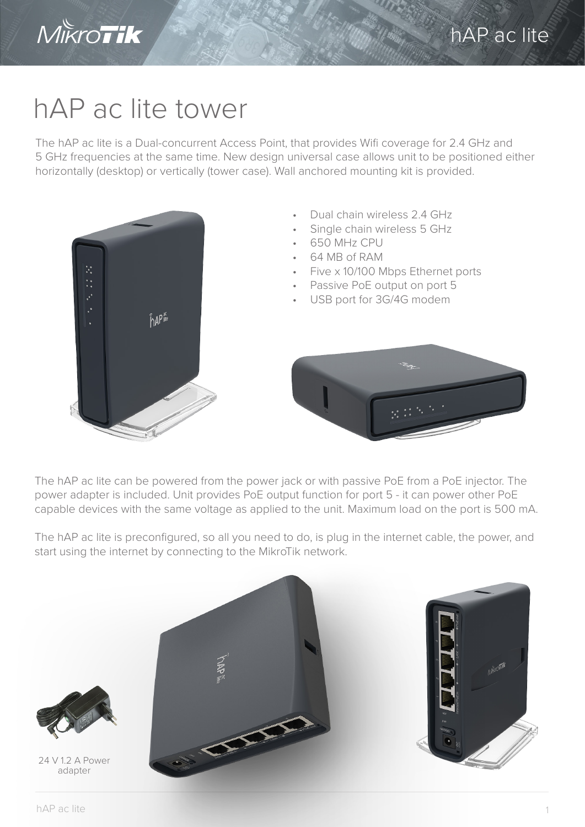

## hAP ac lite tower

The hAP ac lite is a Dual-concurrent Access Point, that provides Wifi coverage for 2.4 GHz and 5 GHz frequencies at the same time. New design universal case allows unit to be positioned either horizontally (desktop) or vertically (tower case). Wall anchored mounting kit is provided.



The hAP ac lite can be powered from the power jack or with passive PoE from a PoE injector. The power adapter is included. Unit provides PoE output function for port 5 - it can power other PoE capable devices with the same voltage as applied to the unit. Maximum load on the port is 500 mA.

The hAP ac lite is preconfigured, so all you need to do, is plug in the internet cable, the power, and start using the internet by connecting to the MikroTik network.